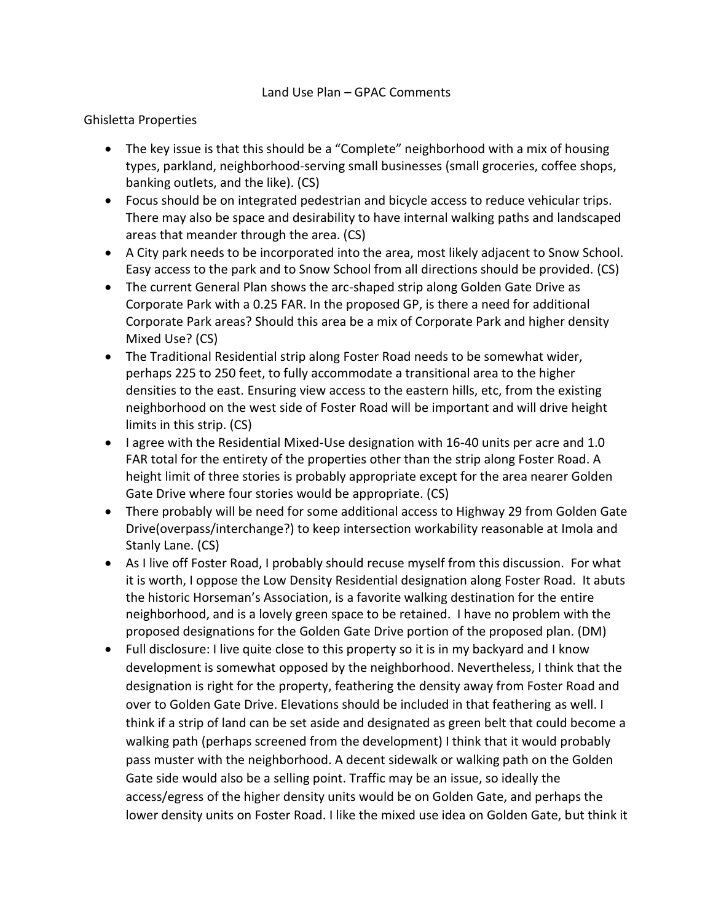#### Land Use Plan – GPAC Comments

#### Ghisletta Properties

- The key issue is that this should be a "Complete" neighborhood with a mix of housing types, parkland, neighborhood-serving small businesses (small groceries, coffee shops, banking outlets, and the like). (CS)
- Focus should be on integrated pedestrian and bicycle access to reduce vehicular trips. There may also be space and desirability to have internal walking paths and landscaped areas that meander through the area. (CS)
- A City park needs to be incorporated into the area, most likely adjacent to Snow School. Easy access to the park and to Snow School from all directions should be provided. (CS)
- The current General Plan shows the arc-shaped strip along Golden Gate Drive as Corporate Park with a 0.25 FAR. In the proposed GP, is there a need for additional Corporate Park areas? Should this area be a mix of Corporate Park and higher density Mixed Use? (CS)
- The Traditional Residential strip along Foster Road needs to be somewhat wider, perhaps 225 to 250 feet, to fully accommodate a transitional area to the higher densities to the east. Ensuring view access to the eastern hills, etc, from the existing neighborhood on the west side of Foster Road will be important and will drive height limits in this strip. (CS)
- I agree with the Residential Mixed-Use designation with 16-40 units per acre and 1.0 FAR total for the entirety of the properties other than the strip along Foster Road. A height limit of three stories is probably appropriate except for the area nearer Golden Gate Drive where four stories would be appropriate. (CS)
- There probably will be need for some additional access to Highway 29 from Golden Gate Drive(overpass/interchange?) to keep intersection workability reasonable at Imola and Stanly Lane. (CS)
- As I live off Foster Road, I probably should recuse myself from this discussion. For what it is worth, I oppose the Low Density Residential designation along Foster Road. It abuts the historic Horseman's Association, is a favorite walking destination for the entire neighborhood, and is a lovely green space to be retained. I have no problem with the proposed designations for the Golden Gate Drive portion of the proposed plan. (DM)
- Full disclosure: I live quite close to this property so it is in my backyard and I know development is somewhat opposed by the neighborhood. Nevertheless, I think that the designation is right for the property, feathering the density away from Foster Road and over to Golden Gate Drive. Elevations should be included in that feathering as well. I think if a strip of land can be set aside and designated as green belt that could become a walking path (perhaps screened from the development) I think that it would probably pass muster with the neighborhood. A decent sidewalk or walking path on the Golden Gate side would also be a selling point. Traffic may be an issue, so ideally the access/egress of the higher density units would be on Golden Gate, and perhaps the lower density units on Foster Road. I like the mixed use idea on Golden Gate, but think it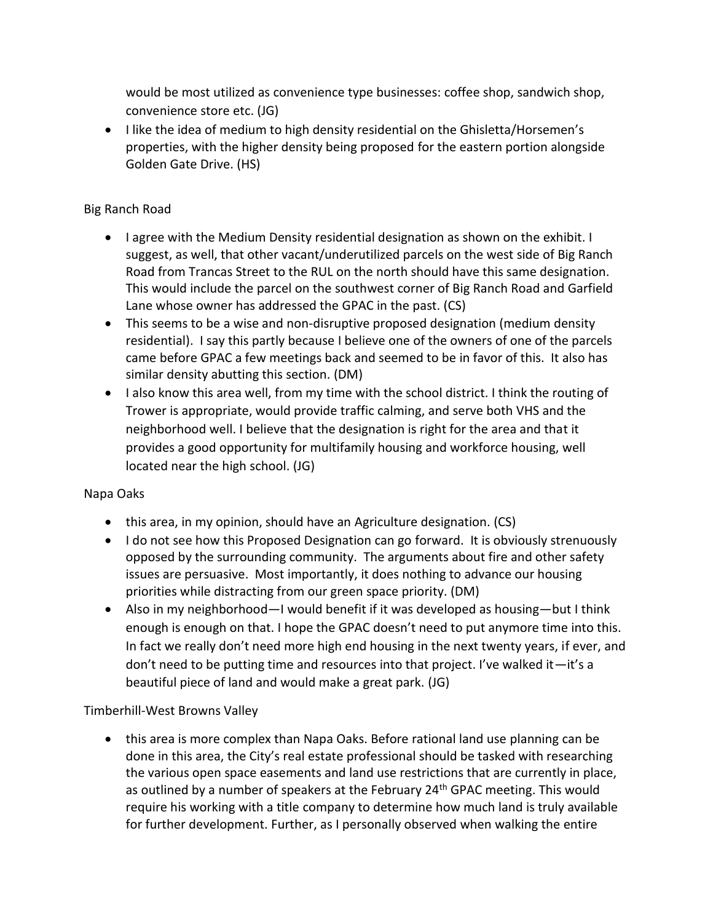would be most utilized as convenience type businesses: coffee shop, sandwich shop, convenience store etc. (JG)

• I like the idea of medium to high density residential on the Ghisletta/Horsemen's properties, with the higher density being proposed for the eastern portion alongside Golden Gate Drive. (HS)

## Big Ranch Road

- I agree with the Medium Density residential designation as shown on the exhibit. I suggest, as well, that other vacant/underutilized parcels on the west side of Big Ranch Road from Trancas Street to the RUL on the north should have this same designation. This would include the parcel on the southwest corner of Big Ranch Road and Garfield Lane whose owner has addressed the GPAC in the past. (CS)
- This seems to be a wise and non-disruptive proposed designation (medium density residential). I say this partly because I believe one of the owners of one of the parcels came before GPAC a few meetings back and seemed to be in favor of this. It also has similar density abutting this section. (DM)
- I also know this area well, from my time with the school district. I think the routing of Trower is appropriate, would provide traffic calming, and serve both VHS and the neighborhood well. I believe that the designation is right for the area and that it provides a good opportunity for multifamily housing and workforce housing, well located near the high school. (JG)

## Napa Oaks

- this area, in my opinion, should have an Agriculture designation. (CS)
- I do not see how this Proposed Designation can go forward. It is obviously strenuously opposed by the surrounding community. The arguments about fire and other safety issues are persuasive. Most importantly, it does nothing to advance our housing priorities while distracting from our green space priority. (DM)
- Also in my neighborhood—I would benefit if it was developed as housing—but I think enough is enough on that. I hope the GPAC doesn't need to put anymore time into this. In fact we really don't need more high end housing in the next twenty years, if ever, and don't need to be putting time and resources into that project. I've walked it—it's a beautiful piece of land and would make a great park. (JG)

# Timberhill-West Browns Valley

• this area is more complex than Napa Oaks. Before rational land use planning can be done in this area, the City's real estate professional should be tasked with researching the various open space easements and land use restrictions that are currently in place, as outlined by a number of speakers at the February 24<sup>th</sup> GPAC meeting. This would require his working with a title company to determine how much land is truly available for further development. Further, as I personally observed when walking the entire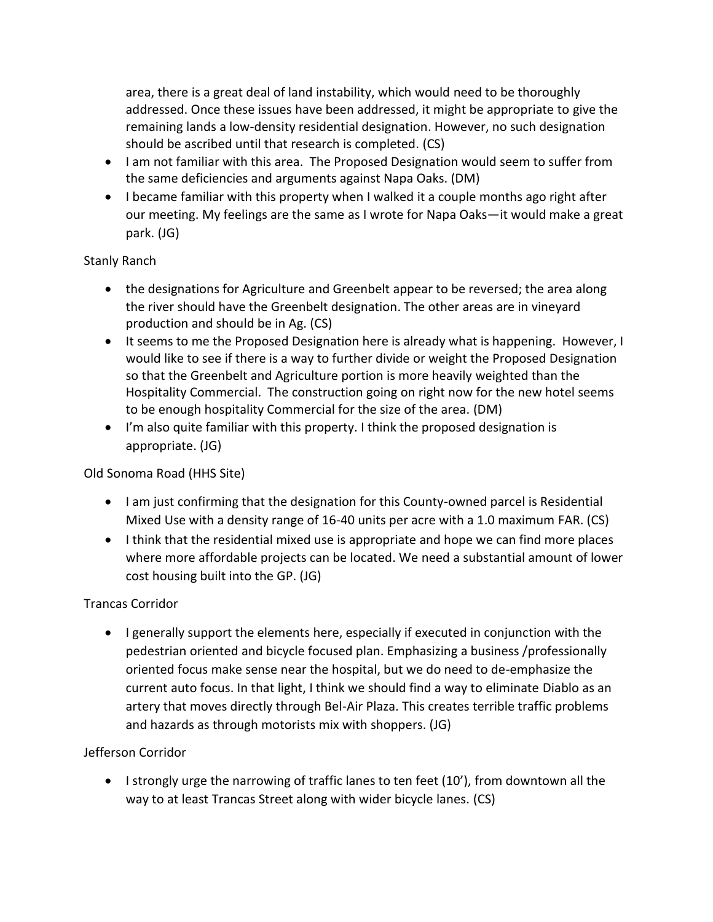area, there is a great deal of land instability, which would need to be thoroughly addressed. Once these issues have been addressed, it might be appropriate to give the remaining lands a low-density residential designation. However, no such designation should be ascribed until that research is completed. (CS)

- I am not familiar with this area. The Proposed Designation would seem to suffer from the same deficiencies and arguments against Napa Oaks. (DM)
- I became familiar with this property when I walked it a couple months ago right after our meeting. My feelings are the same as I wrote for Napa Oaks—it would make a great park. (JG)

## Stanly Ranch

- the designations for Agriculture and Greenbelt appear to be reversed; the area along the river should have the Greenbelt designation. The other areas are in vineyard production and should be in Ag. (CS)
- It seems to me the Proposed Designation here is already what is happening. However, I would like to see if there is a way to further divide or weight the Proposed Designation so that the Greenbelt and Agriculture portion is more heavily weighted than the Hospitality Commercial. The construction going on right now for the new hotel seems to be enough hospitality Commercial for the size of the area. (DM)
- I'm also quite familiar with this property. I think the proposed designation is appropriate. (JG)

## Old Sonoma Road (HHS Site)

- I am just confirming that the designation for this County-owned parcel is Residential Mixed Use with a density range of 16-40 units per acre with a 1.0 maximum FAR. (CS)
- I think that the residential mixed use is appropriate and hope we can find more places where more affordable projects can be located. We need a substantial amount of lower cost housing built into the GP. (JG)

# Trancas Corridor

• I generally support the elements here, especially if executed in conjunction with the pedestrian oriented and bicycle focused plan. Emphasizing a business /professionally oriented focus make sense near the hospital, but we do need to de-emphasize the current auto focus. In that light, I think we should find a way to eliminate Diablo as an artery that moves directly through Bel-Air Plaza. This creates terrible traffic problems and hazards as through motorists mix with shoppers. (JG)

## Jefferson Corridor

• I strongly urge the narrowing of traffic lanes to ten feet (10'), from downtown all the way to at least Trancas Street along with wider bicycle lanes. (CS)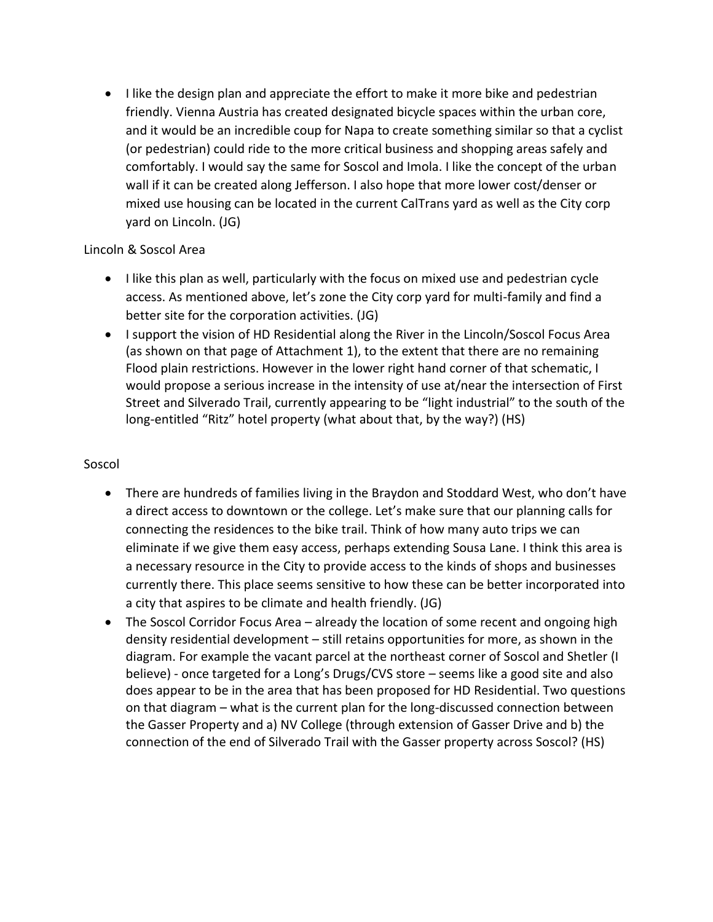• I like the design plan and appreciate the effort to make it more bike and pedestrian friendly. Vienna Austria has created designated bicycle spaces within the urban core, and it would be an incredible coup for Napa to create something similar so that a cyclist (or pedestrian) could ride to the more critical business and shopping areas safely and comfortably. I would say the same for Soscol and Imola. I like the concept of the urban wall if it can be created along Jefferson. I also hope that more lower cost/denser or mixed use housing can be located in the current CalTrans yard as well as the City corp yard on Lincoln. (JG)

#### Lincoln & Soscol Area

- I like this plan as well, particularly with the focus on mixed use and pedestrian cycle access. As mentioned above, let's zone the City corp yard for multi-family and find a better site for the corporation activities. (JG)
- I support the vision of HD Residential along the River in the Lincoln/Soscol Focus Area (as shown on that page of Attachment 1), to the extent that there are no remaining Flood plain restrictions. However in the lower right hand corner of that schematic, I would propose a serious increase in the intensity of use at/near the intersection of First Street and Silverado Trail, currently appearing to be "light industrial" to the south of the long-entitled "Ritz" hotel property (what about that, by the way?) (HS)

#### Soscol

- There are hundreds of families living in the Braydon and Stoddard West, who don't have a direct access to downtown or the college. Let's make sure that our planning calls for connecting the residences to the bike trail. Think of how many auto trips we can eliminate if we give them easy access, perhaps extending Sousa Lane. I think this area is a necessary resource in the City to provide access to the kinds of shops and businesses currently there. This place seems sensitive to how these can be better incorporated into a city that aspires to be climate and health friendly. (JG)
- The Soscol Corridor Focus Area already the location of some recent and ongoing high density residential development – still retains opportunities for more, as shown in the diagram. For example the vacant parcel at the northeast corner of Soscol and Shetler (I believe) - once targeted for a Long's Drugs/CVS store – seems like a good site and also does appear to be in the area that has been proposed for HD Residential. Two questions on that diagram – what is the current plan for the long-discussed connection between the Gasser Property and a) NV College (through extension of Gasser Drive and b) the connection of the end of Silverado Trail with the Gasser property across Soscol? (HS)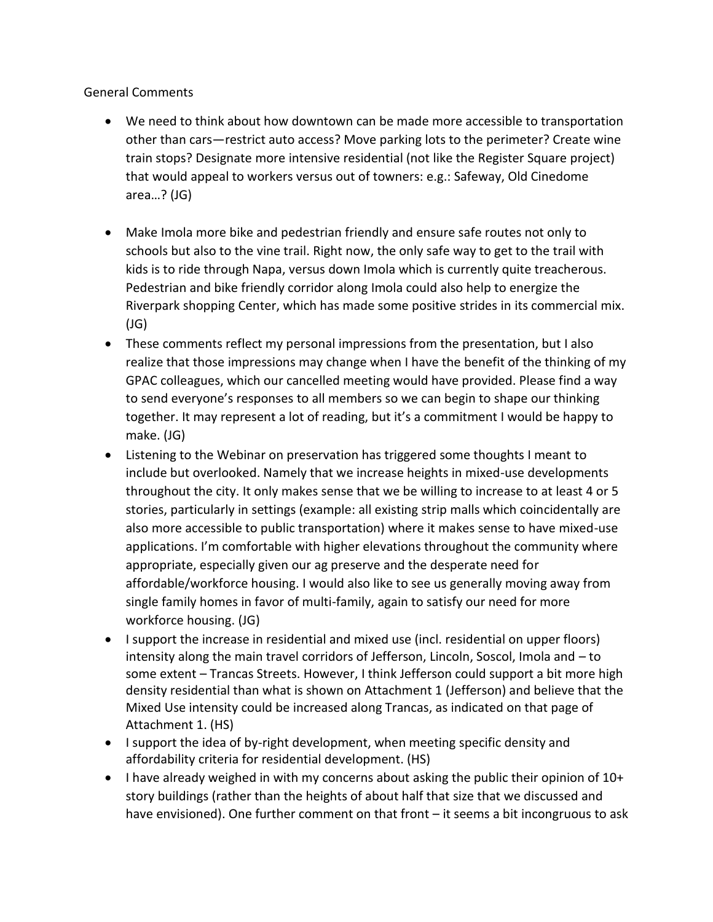General Comments

- We need to think about how downtown can be made more accessible to transportation other than cars—restrict auto access? Move parking lots to the perimeter? Create wine train stops? Designate more intensive residential (not like the Register Square project) that would appeal to workers versus out of towners: e.g.: Safeway, Old Cinedome area…? (JG)
- Make Imola more bike and pedestrian friendly and ensure safe routes not only to schools but also to the vine trail. Right now, the only safe way to get to the trail with kids is to ride through Napa, versus down Imola which is currently quite treacherous. Pedestrian and bike friendly corridor along Imola could also help to energize the Riverpark shopping Center, which has made some positive strides in its commercial mix. (JG)
- These comments reflect my personal impressions from the presentation, but I also realize that those impressions may change when I have the benefit of the thinking of my GPAC colleagues, which our cancelled meeting would have provided. Please find a way to send everyone's responses to all members so we can begin to shape our thinking together. It may represent a lot of reading, but it's a commitment I would be happy to make. (JG)
- Listening to the Webinar on preservation has triggered some thoughts I meant to include but overlooked. Namely that we increase heights in mixed-use developments throughout the city. It only makes sense that we be willing to increase to at least 4 or 5 stories, particularly in settings (example: all existing strip malls which coincidentally are also more accessible to public transportation) where it makes sense to have mixed-use applications. I'm comfortable with higher elevations throughout the community where appropriate, especially given our ag preserve and the desperate need for affordable/workforce housing. I would also like to see us generally moving away from single family homes in favor of multi-family, again to satisfy our need for more workforce housing. (JG)
- I support the increase in residential and mixed use (incl. residential on upper floors) intensity along the main travel corridors of Jefferson, Lincoln, Soscol, Imola and – to some extent – Trancas Streets. However, I think Jefferson could support a bit more high density residential than what is shown on Attachment 1 (Jefferson) and believe that the Mixed Use intensity could be increased along Trancas, as indicated on that page of Attachment 1. (HS)
- I support the idea of by-right development, when meeting specific density and affordability criteria for residential development. (HS)
- I have already weighed in with my concerns about asking the public their opinion of 10+ story buildings (rather than the heights of about half that size that we discussed and have envisioned). One further comment on that front – it seems a bit incongruous to ask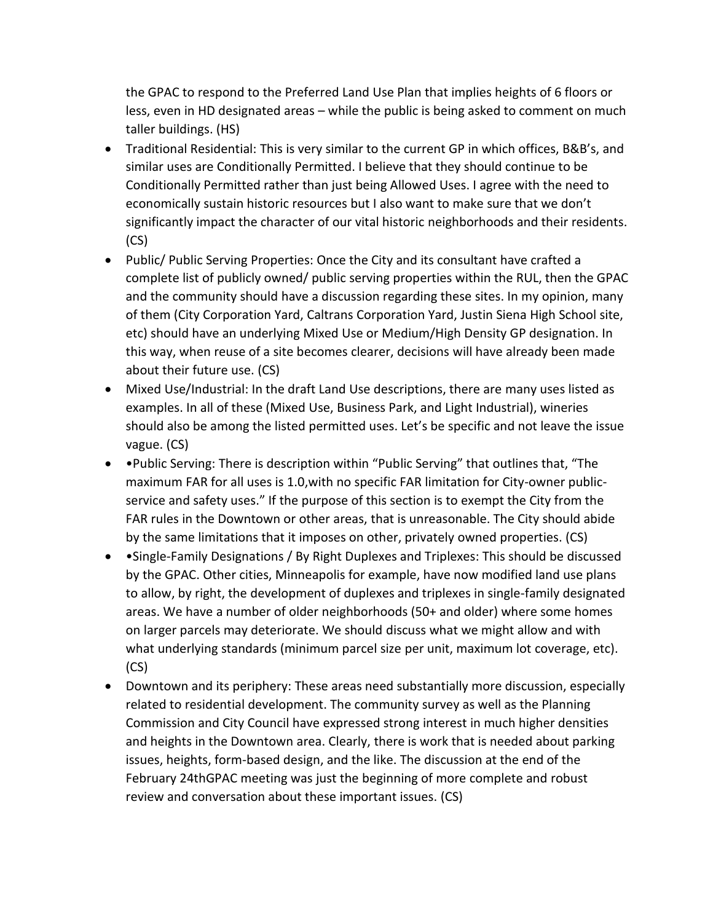the GPAC to respond to the Preferred Land Use Plan that implies heights of 6 floors or less, even in HD designated areas – while the public is being asked to comment on much taller buildings. (HS)

- Traditional Residential: This is very similar to the current GP in which offices, B&B's, and similar uses are Conditionally Permitted. I believe that they should continue to be Conditionally Permitted rather than just being Allowed Uses. I agree with the need to economically sustain historic resources but I also want to make sure that we don't significantly impact the character of our vital historic neighborhoods and their residents. (CS)
- Public/ Public Serving Properties: Once the City and its consultant have crafted a complete list of publicly owned/ public serving properties within the RUL, then the GPAC and the community should have a discussion regarding these sites. In my opinion, many of them (City Corporation Yard, Caltrans Corporation Yard, Justin Siena High School site, etc) should have an underlying Mixed Use or Medium/High Density GP designation. In this way, when reuse of a site becomes clearer, decisions will have already been made about their future use. (CS)
- Mixed Use/Industrial: In the draft Land Use descriptions, there are many uses listed as examples. In all of these (Mixed Use, Business Park, and Light Industrial), wineries should also be among the listed permitted uses. Let's be specific and not leave the issue vague. (CS)
- •Public Serving: There is description within "Public Serving" that outlines that, "The maximum FAR for all uses is 1.0,with no specific FAR limitation for City-owner publicservice and safety uses." If the purpose of this section is to exempt the City from the FAR rules in the Downtown or other areas, that is unreasonable. The City should abide by the same limitations that it imposes on other, privately owned properties. (CS)
- •Single-Family Designations / By Right Duplexes and Triplexes: This should be discussed by the GPAC. Other cities, Minneapolis for example, have now modified land use plans to allow, by right, the development of duplexes and triplexes in single-family designated areas. We have a number of older neighborhoods (50+ and older) where some homes on larger parcels may deteriorate. We should discuss what we might allow and with what underlying standards (minimum parcel size per unit, maximum lot coverage, etc). (CS)
- Downtown and its periphery: These areas need substantially more discussion, especially related to residential development. The community survey as well as the Planning Commission and City Council have expressed strong interest in much higher densities and heights in the Downtown area. Clearly, there is work that is needed about parking issues, heights, form-based design, and the like. The discussion at the end of the February 24thGPAC meeting was just the beginning of more complete and robust review and conversation about these important issues. (CS)